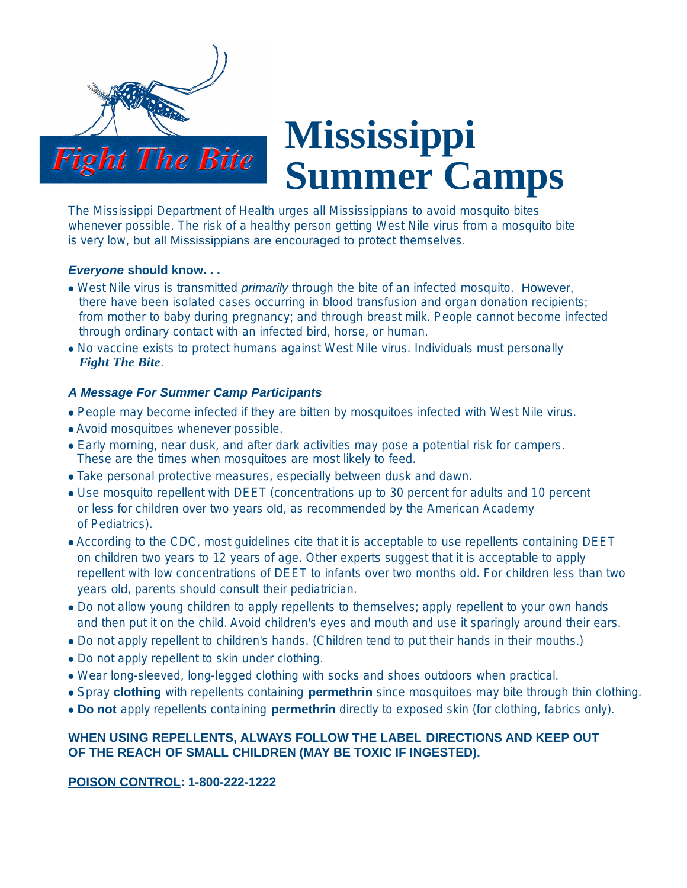

# **Mississippi Summer Camps**

The Mississippi Department of Health urges all Mississippians to avoid mosquito bites whenever possible. The risk of a healthy person getting West Nile virus from a mosquito bite is very low*,* but all Mississippians are encouraged to protect themselves.

#### *Everyone* **should know. . .**

- ⓦ West Nile virus is transmitted *primarily* through the bite of an infected mosquito. However, there have been isolated cases occurring in blood transfusion and organ donation recipients; from mother to baby during pregnancy; and through breast milk. People cannot become infected through ordinary contact with an infected bird, horse, or human.
- ⓦ No vaccine exists to protect humans against West Nile virus. Individuals must personally *Fight The Bite*.

# *A Message For Summer Camp Participants*

- ⓦ People may become infected if they are bitten by mosquitoes infected with West Nile virus.
- ⓦ Avoid mosquitoes whenever possible.
- Early morning, near dusk, and after dark activities may pose a potential risk for campers. These are the times when mosquitoes are most likely to feed.
- ⓦ Take personal protective measures, especially between dusk and dawn.
- ⓦ Use mosquito repellent with DEET (concentrations up to 30 percent for adults and 10 percent or less for children over two years old, as recommended by the American Academy of Pediatrics).
- ⓦ According to the CDC, most guidelines cite that it is acceptable to use repellents containing DEET on children two years to 12 years of age. Other experts suggest that it is acceptable to apply repellent with low concentrations of DEET to infants over two months old. For children less than two years old, parents should consult their pediatrician.
- Do not allow young children to apply repellents to themselves; apply repellent to your own hands and then put it on the child. Avoid children's eyes and mouth and use it sparingly around their ears.
- ⓦ Do not apply repellent to children's hands. (Children tend to put their hands in their mouths.)
- ⓦ Do not apply repellent to skin under clothing.
- ⓦ Wear long-sleeved, long-legged clothing with socks and shoes outdoors when practical.
- ⓦ Spray **clothing** with repellents containing **permethrin** since mosquitoes may bite through thin clothing.
- ⓦ **Do not** apply repellents containing **permethrin** directly to exposed skin (for clothing, fabrics only).

# **WHEN USING REPELLENTS, ALWAYS FOLLOW THE LABEL DIRECTIONS AND KEEP OUT OF THE REACH OF SMALL CHILDREN (MAY BE TOXIC IF INGESTED).**

# **POISON CONTROL: 1-800-222-1222**